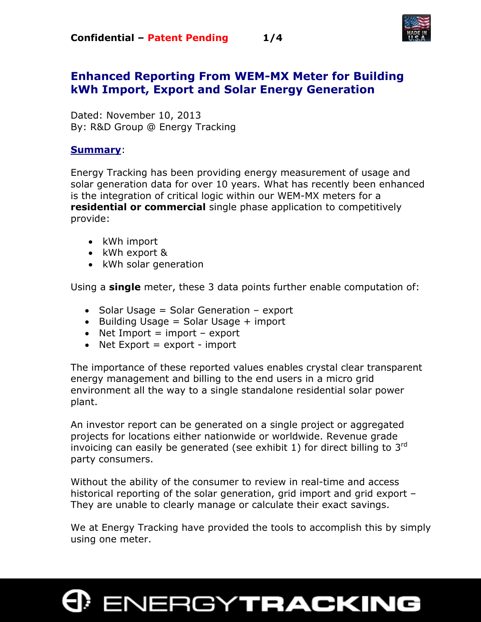

### **Enhanced Reporting From WEM-MX Meter for Building kWh Import, Export and Solar Energy Generation**

Dated: November 10, 2013 By: R&D Group @ Energy Tracking

#### **Summary**:

Energy Tracking has been providing energy measurement of usage and solar generation data for over 10 years. What has recently been enhanced is the integration of critical logic within our WEM-MX meters for a **residential or commercial** single phase application to competitively provide:

- kWh import
- kWh export &
- kWh solar generation

Using a **single** meter, these 3 data points further enable computation of:

- Solar Usage = Solar Generation export
- Building Usage = Solar Usage + import
- Net Import  $=$  import  $-$  export
- Net  $Expert = export import$

The importance of these reported values enables crystal clear transparent energy management and billing to the end users in a micro grid environment all the way to a single standalone residential solar power plant.

An investor report can be generated on a single project or aggregated projects for locations either nationwide or worldwide. Revenue grade invoicing can easily be generated (see exhibit 1) for direct billing to  $3<sup>rd</sup>$ party consumers.

Without the ability of the consumer to review in real-time and access historical reporting of the solar generation, grid import and grid export – They are unable to clearly manage or calculate their exact savings.

We at Energy Tracking have provided the tools to accomplish this by simply using one meter.

# **ENERGYTRACKING**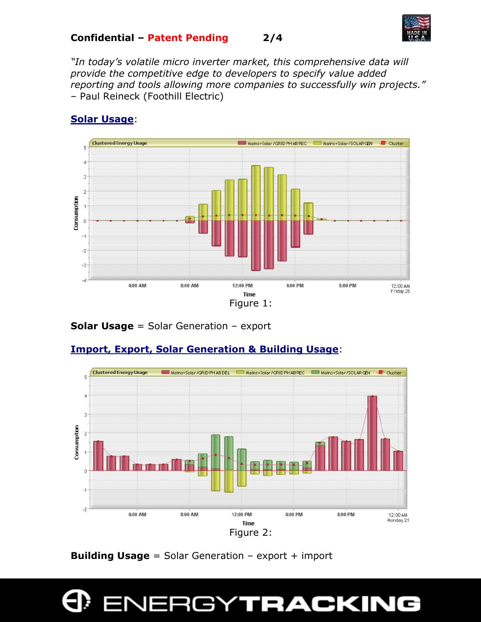

*"In today's volatile micro inverter market, this comprehensive data will provide the competitive edge to developers to specify value added reporting and tools allowing more companies to successfully win projects."* – Paul Reineck (Foothill Electric)



#### **Solar Usage**:

#### **Solar Usage** = Solar Generation – export





**Building Usage** = Solar Generation – export + import

## **INERGYTRACKING**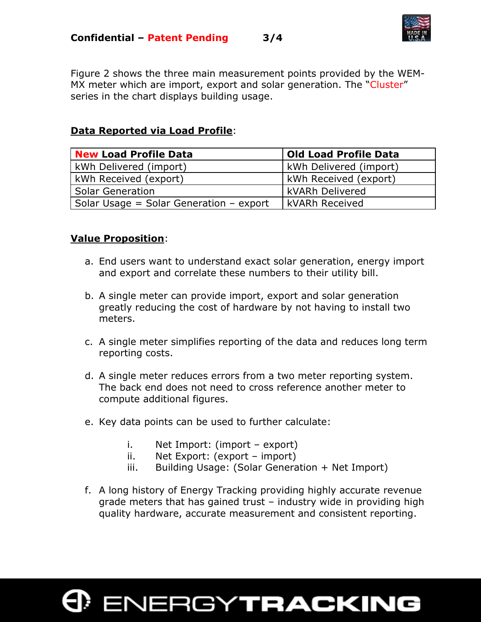

Figure 2 shows the three main measurement points provided by the WEM-MX meter which are import, export and solar generation. The "Cluster" series in the chart displays building usage.

#### **Data Reported via Load Profile**:

| New Load Profile Data                     | <b>Old Load Profile Data</b>  |
|-------------------------------------------|-------------------------------|
| kWh Delivered (import)                    | <b>kWh Delivered (import)</b> |
| kWh Received (export)                     | kWh Received (export)         |
| <b>Solar Generation</b>                   | l kVARh Delivered             |
| Solar Usage = Solar Generation $-$ export | <b>LkVARh Received</b>        |

#### **Value Proposition**:

- a. End users want to understand exact solar generation, energy import and export and correlate these numbers to their utility bill.
- b. A single meter can provide import, export and solar generation greatly reducing the cost of hardware by not having to install two meters.
- c. A single meter simplifies reporting of the data and reduces long term reporting costs.
- d. A single meter reduces errors from a two meter reporting system. The back end does not need to cross reference another meter to compute additional figures.
- e. Key data points can be used to further calculate:
	- i. Net Import: (import export)
	- ii. Net Export: (export import)
	- iii. Building Usage: (Solar Generation + Net Import)
- f. A long history of Energy Tracking providing highly accurate revenue grade meters that has gained trust – industry wide in providing high quality hardware, accurate measurement and consistent reporting.